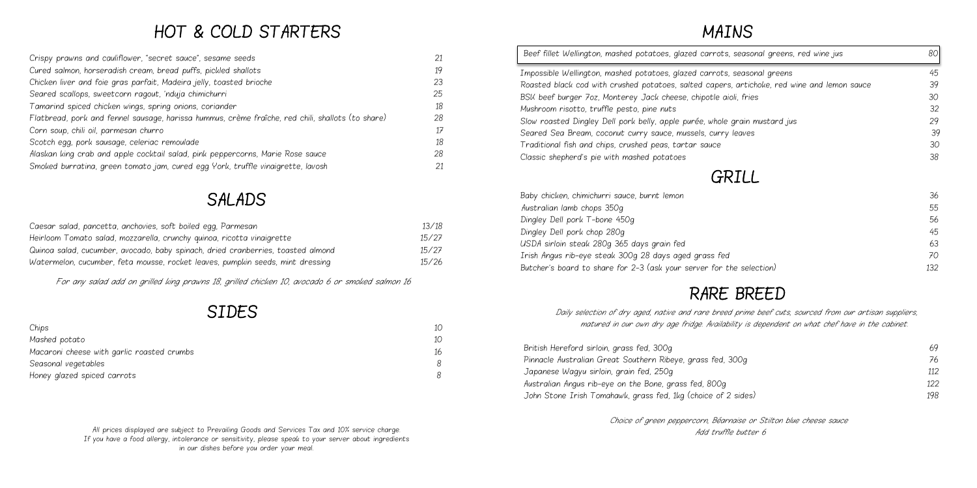# HOT & COLD STARTERS

| Crispy prawns and cauliflower, "secret sauce", sesame seeds                                       | 21 |
|---------------------------------------------------------------------------------------------------|----|
| Cured salmon, horseradish cream, bread puffs, pickled shallots                                    | 19 |
| Chicken liver and foie gras parfait, Madeira jelly, toasted brioche                               | 23 |
| Seared scallops, sweetcorn ragout, 'nduja chimichurri                                             | 25 |
| Tamarind spiced chicken wings, spring onions, coriander                                           | 18 |
| Flatbread, pork and fennel sausage, harissa hummus, crème fraîche, red chili, shallots (to share) | 28 |
| Corn soup, chili oil, parmesan churro                                                             | 17 |
| Scotch egg, pork sausage, celeriac remoulade                                                      | 18 |
| Alaskan king crab and apple cocktail salad, pink peppercorns, Marie Rose sauce                    | 28 |
| Smoked burratina, green tomato jam, cured egg York, truffle vinaigrette, lavosh                   | 21 |

### SALADS

| Caesar salad, pancetta, anchovies, soft boiled egg, Parmesan                     | 13/18 |
|----------------------------------------------------------------------------------|-------|
| Heirloom Tomato salad, mozzarella, crunchy quinoa, ricotta vinaigrette           | 15/27 |
| Quinoa salad, cucumber, avocado, baby spinach, dried cranberries, toasted almond | 15/27 |
| Watermelon, cucumber, feta mousse, rocket leaves, pumpkin seeds, mint dressing   | 15/26 |

For any salad add on grilled king prawns 18, grilled chicken 10, avocado 6 or smoked salmon 16

#### SIDES

| Chips                                      | $1 \cap$ |
|--------------------------------------------|----------|
| Mashed potato                              | 10       |
| Macaroni cheese with garlic roasted crumbs | 16       |
| Seasonal vegetables                        | R        |
| Honey glazed spiced carrots                | 8        |

All prices displayed are subject to Prevailing Goods and Services Tax and 10% service charge. If you have a food allergy, intolerance or sensitivity, please speak to your server about ingredients in our dishes before you order your meal.

# MAINS



| Beef fillet Wellington, mashed potatoes, glazed carrots, seasonal greens, red wine jus      | 80  |
|---------------------------------------------------------------------------------------------|-----|
| Impossible Wellington, mashed potatoes, glazed carrots, seasonal greens                     | 45  |
| Roasted black cod with crushed potatoes, salted capers, artichoke, red wine and lemon sauce | 39  |
| BSK beef burger 7oz, Monterey Jack cheese, chipotle aioli, fries                            | 30  |
| Mushroom risotto, truffle pesto, pine nuts                                                  | 32  |
| Slow roasted Dingley Dell pork belly, apple purée, whole grain mustard jus                  | 29  |
| Seared Sea Bream, coconut curry sauce, mussels, curry leaves                                | 39  |
| Traditional fish and chips, crushed peas, tartar sauce                                      | 30  |
| Classic shepherd's pie with mashed potatoes                                                 | 38  |
| GRILL                                                                                       |     |
| Baby chicken, chimichurri sauce, burnt lemon                                                | 36  |
| Australian lamb chops 350g                                                                  | 55  |
| Dingley Dell pork T-bone 450g                                                               | 56  |
| Dingley Dell pork chop 280g                                                                 | 45  |
| USDA sirloin steak 280g 365 days grain fed                                                  | 63  |
| Irish Angus rib-eye steak 300g 28 days aged grass fed                                       | 70  |
| Butcher's board to share for 2-3 (ask your server for the selection)                        | 132 |

## RARE BREED

|       | 69  |
|-------|-----|
| Оg    | 76  |
|       | 112 |
|       | 122 |
| ides) | 198 |

 Daily selection of dry aged, native and rare breed prime beef cuts, sourced from our artisan suppliers, matured in our own dry age fridge. Availability is dependent on what chef have in the cabinet.

British Hereford sirloin, grass fed, 300g Pinnacle Australian Great Southern Ribeye, grass fed, 300 Japanese Wagyu sirloin, grain fed, 250g Australian Angus rib-eye on the Bone, grass fed, 800g John Stone Irish Tomahawk, grass fed, 1kg (choice of 2 sides)

> Choice of green peppercorn, Béarnaise or Stilton blue cheese sauce Add truffle butter 6